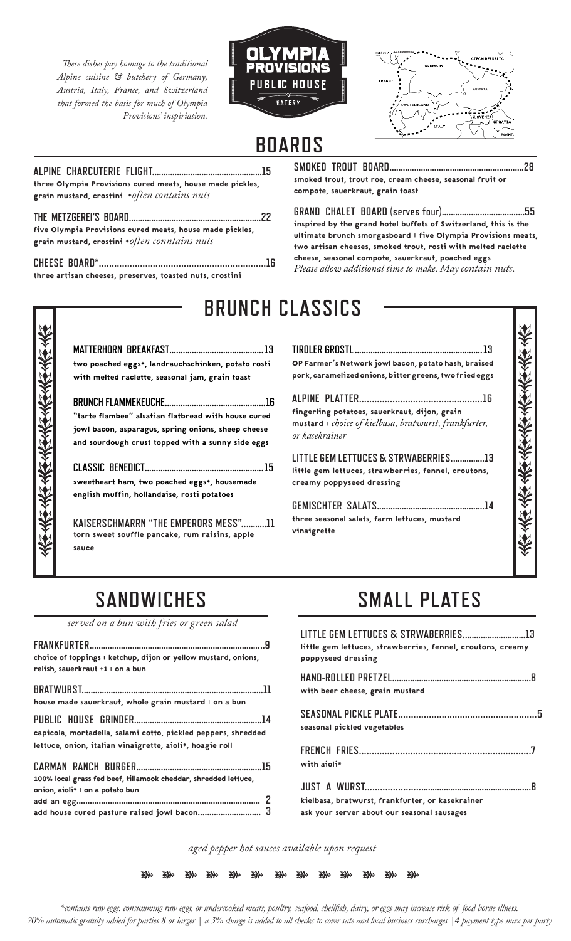*These dishes pay homage to the traditional Alpine cuisine & butchery of Germany, Austria, Italy, France, and Switzerland that formed the basis for much of Olympia Provisions' inspiriation.* 





## **BOARDS**

**ALPINE CHARCUTERIE FLIGHT.................................................15** three Olympia Provisions cured meats, house made pickles, grain mustard, crostini \**often contains nuts* **THE METZGEREI'S BOARD...........................................................22**

| five Olympia Provisions cured meats, house made pickles. |  |
|----------------------------------------------------------|--|
| grain mustard, crostini * often conntains nuts           |  |

**CHEESE BOARD\*.................................................................16** three artisan cheeses, preserves, toasted nuts, crostini

**SMOKED TROUT BOARD............................................................28** smoked trout, trout roe, cream cheese, seasonal fruit or compote, sauerkraut, grain toast

**GRAND CHALET BOARD (serves four).....................................55** inspired by the grand hotel buffets of Switzerland, this is the ultimate brunch smorgasboard | five Olympia Provisions meats, two artisan cheeses, smoked trout, rosti with melted raclette cheese, seasonal compote, sauerkraut, poached eggs *Please allow additional time to make. May contain nuts.*

| BRUNCH CLASSICS                                     |                                                         |
|-----------------------------------------------------|---------------------------------------------------------|
|                                                     |                                                         |
| two poached eggs*, landrauchschinken, potato rosti  | OP Farmer's Network jowl bacon, potato hash, braised    |
| with melted raclette, seasonal jam, grain toast     | pork, caramelized onions, bitter greens, two fried eggs |
|                                                     |                                                         |
| "tarte flambee" alsatian flatbread with house cured | fingerling potatoes, sauerkraut, dijon, grain           |
| jowl bacon, asparagus, spring onions, sheep cheese  | mustard I choice of kielbasa, bratwurst, frankfurter,   |
| and sourdough crust topped with a sunny side eggs   | or kasekrainer                                          |
|                                                     | LITTLE GEM LETTUCES & STRWABERRIES13                    |
| sweetheart ham, two poached eggs*, housemade        | little gem lettuces, strawberries, fennel, croutons,    |
| english muffin, hollandaise, rosti potatoes         | creamy poppyseed dressing                               |
| KAISERSCHMARRN "THE EMPERORS MESS"11                |                                                         |
| torn sweet souffle pancake, rum raisins, apple      | three seasonal salats, farm lettuces, mustard           |
| sauce                                               | vinaigrette                                             |

# **SANDWICHES**

*served on a bun with fries or green salad* 

| choice of toppings I ketchup, dijon or yellow mustard, onions,<br>relish, sauerkraut +1   on a bun                        |
|---------------------------------------------------------------------------------------------------------------------------|
| house made sauerkraut, whole grain mustard I on a bun                                                                     |
| capicola, mortadella, salami cotto, pickled peppers, shredded<br>lettuce, onion, italian vinaigrette, aioli*, hoagie roll |
| 100% local grass fed beef, tillamook cheddar, shredded lettuce,<br>onion, aioli* I on a potato bun                        |
|                                                                                                                           |

# **SMALL PLATES**

| LITTLE GEM LETTUCES & STRWABERRIES13<br>little gem lettuces, strawberries, fennel, croutons, creamy<br>poppyseed dressing |  |
|---------------------------------------------------------------------------------------------------------------------------|--|
| with beer cheese, grain mustard                                                                                           |  |
| seasonal pickled vegetables                                                                                               |  |
| with aioli*                                                                                                               |  |
| kielbasa, bratwurst, frankfurter, or kasekrainer<br>ask your server about our seasonal sausages                           |  |

*aged pepper hot sauces available upon request*

赤森 \* ₩ \* \* ₩ ₩ ₩ ₩ ₩ ₩ ₩

*\*contains raw eggs. consumming raw eggs, or undercooked meats, poultry, seafood, shellfish, dairy, or eggs may increase risk of food borne illness. 20% automatic gratuity added for parties 8 or larger | a 3% charge is added to all checks to cover sate and local business surcharges |4 payment type max per party*

## **BRUNCH CLASSICS**